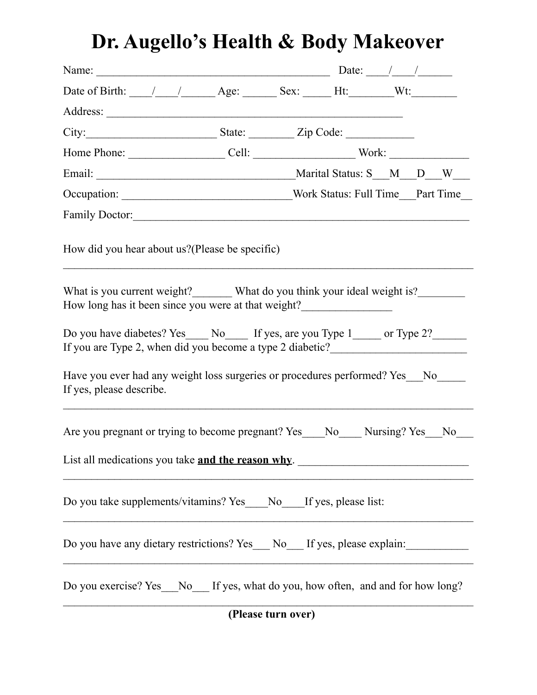## **Dr. Augello's Health & Body Makeover**

| Name: $Date:$ Date: $\frac{1}{2}$                                                                                                                                                                                              |  |  |  |  |  |  |  |
|--------------------------------------------------------------------------------------------------------------------------------------------------------------------------------------------------------------------------------|--|--|--|--|--|--|--|
|                                                                                                                                                                                                                                |  |  |  |  |  |  |  |
|                                                                                                                                                                                                                                |  |  |  |  |  |  |  |
| City: City: State: Zip Code:                                                                                                                                                                                                   |  |  |  |  |  |  |  |
|                                                                                                                                                                                                                                |  |  |  |  |  |  |  |
|                                                                                                                                                                                                                                |  |  |  |  |  |  |  |
|                                                                                                                                                                                                                                |  |  |  |  |  |  |  |
| Family Doctor: Note and Society and Society and Society and Society and Society and Society and Society and Society and Society and Society and Society and Society and Society and Society and Society and Society and Societ |  |  |  |  |  |  |  |
| How did you hear about us? (Please be specific)                                                                                                                                                                                |  |  |  |  |  |  |  |
| What is you current weight? What do you think your ideal weight is?<br>How long has it been since you were at that weight?                                                                                                     |  |  |  |  |  |  |  |
| Do you have diabetes? Yes ______ No _______ If yes, are you Type 1 _______ or Type 2?<br>If you are Type 2, when did you become a type 2 diabetic?_______________________                                                      |  |  |  |  |  |  |  |
| Have you ever had any weight loss surgeries or procedures performed? Yes No<br>If yes, please describe.                                                                                                                        |  |  |  |  |  |  |  |
| Are you pregnant or trying to become pregnant? Yes__No__Nursing? Yes_No__                                                                                                                                                      |  |  |  |  |  |  |  |
| List all medications you take and the reason why.                                                                                                                                                                              |  |  |  |  |  |  |  |
| Do you take supplements/vitamins? Yes _____ No ______ If yes, please list:                                                                                                                                                     |  |  |  |  |  |  |  |
| Do you have any dietary restrictions? Yes ___ No ___ If yes, please explain:                                                                                                                                                   |  |  |  |  |  |  |  |
| Do you exercise? Yes_No_If yes, what do you, how often, and and for how long?                                                                                                                                                  |  |  |  |  |  |  |  |
| (Please turn over)                                                                                                                                                                                                             |  |  |  |  |  |  |  |